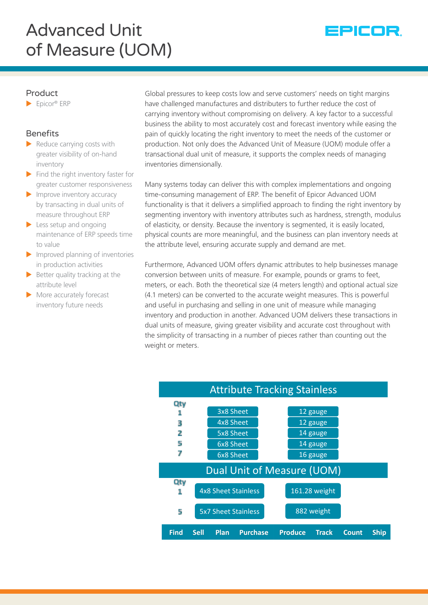# Advanced Unit of Measure (UOM)



### Product

 $\blacktriangleright$  Epicor® ERP

# **Benefits**

- $\blacktriangleright$  Reduce carrying costs with greater visibility of on-hand inventory
- $\blacktriangleright$  Find the right inventory faster for greater customer responsiveness
- $\blacktriangleright$  Improve inventory accuracy by transacting in dual units of measure throughout ERP
- $\blacktriangleright$  Less setup and ongoing maintenance of ERP speeds time to value
- $\blacktriangleright$  Improved planning of inventories in production activities
- $\blacktriangleright$  Better quality tracking at the attribute level
- $\blacktriangleright$  More accurately forecast inventory future needs

Global pressures to keep costs low and serve customers' needs on tight margins have challenged manufactures and distributers to further reduce the cost of carrying inventory without compromising on delivery. A key factor to a successful business the ability to most accurately cost and forecast inventory while easing the pain of quickly locating the right inventory to meet the needs of the customer or production. Not only does the Advanced Unit of Measure (UOM) module offer a transactional dual unit of measure, it supports the complex needs of managing inventories dimensionally.

Many systems today can deliver this with complex implementations and ongoing time-consuming management of ERP. The benefit of Epicor Advanced UOM functionality is that it delivers a simplified approach to finding the right inventory by segmenting inventory with inventory attributes such as hardness, strength, modulus of elasticity, or density. Because the inventory is segmented, it is easily located, physical counts are more meaningful, and the business can plan inventory needs at the attribute level, ensuring accurate supply and demand are met.

Furthermore, Advanced UOM offers dynamic attributes to help businesses manage conversion between units of measure. For example, pounds or grams to feet, meters, or each. Both the theoretical size (4 meters length) and optional actual size (4.1 meters) can be converted to the accurate weight measures. This is powerful and useful in purchasing and selling in one unit of measure while managing inventory and production in another. Advanced UOM delivers these transactions in dual units of measure, giving greater visibility and accurate cost throughout with the simplicity of transacting in a number of pieces rather than counting out the weight or meters.